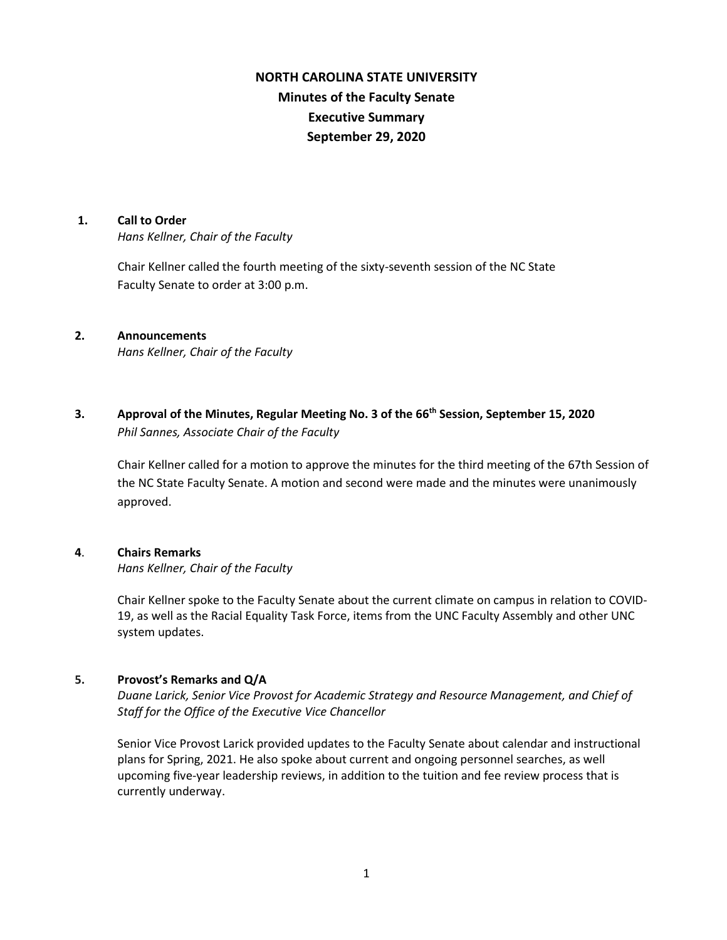# **NORTH CAROLINA STATE UNIVERSITY Minutes of the Faculty Senate Executive Summary September 29, 2020**

#### **1. Call to Order**

*Hans Kellner, Chair of the Faculty*

Chair Kellner called the fourth meeting of the sixty-seventh session of the NC State Faculty Senate to order at 3:00 p.m.

### **2. Announcements**

*Hans Kellner, Chair of the Faculty*

**3. Approval of the Minutes, Regular Meeting No. 3 of the 66th Session, September 15, 2020** *Phil Sannes, Associate Chair of the Faculty*

Chair Kellner called for a motion to approve the minutes for the third meeting of the 67th Session of the NC State Faculty Senate. A motion and second were made and the minutes were unanimously approved.

### **4**. **Chairs Remarks**

*Hans Kellner, Chair of the Faculty*

Chair Kellner spoke to the Faculty Senate about the current climate on campus in relation to COVID-19, as well as the Racial Equality Task Force, items from the UNC Faculty Assembly and other UNC system updates.

## **5. Provost's Remarks and Q/A**

*Duane Larick, Senior Vice Provost for Academic Strategy and Resource Management, and Chief of Staff for the Office of the Executive Vice Chancellor*

Senior Vice Provost Larick provided updates to the Faculty Senate about calendar and instructional plans for Spring, 2021. He also spoke about current and ongoing personnel searches, as well upcoming five-year leadership reviews, in addition to the tuition and fee review process that is currently underway.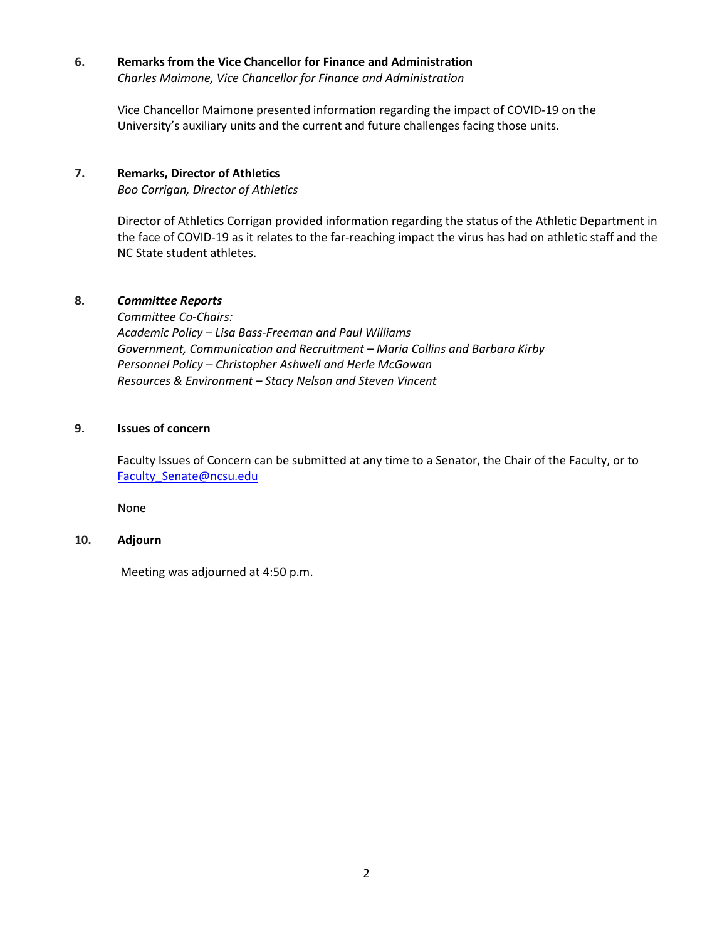#### **6. Remarks from the Vice Chancellor for Finance and Administration**

*Charles Maimone, Vice Chancellor for Finance and Administration*

Vice Chancellor Maimone presented information regarding the impact of COVID-19 on the University's auxiliary units and the current and future challenges facing those units.

## **7. Remarks, Director of Athletics**

*Boo Corrigan, Director of Athletics* 

Director of Athletics Corrigan provided information regarding the status of the Athletic Department in the face of COVID-19 as it relates to the far-reaching impact the virus has had on athletic staff and the NC State student athletes.

## **8.** *Committee Reports*

*Committee Co-Chairs: Academic Policy – Lisa Bass-Freeman and Paul Williams Government, Communication and Recruitment – Maria Collins and Barbara Kirby Personnel Policy – Christopher Ashwell and Herle McGowan Resources & Environment – Stacy Nelson and Steven Vincent*

## **9. Issues of concern**

Faculty Issues of Concern can be submitted at any time to a Senator, the Chair of the Faculty, or to [Faculty\\_Senate@ncsu.edu](mailto:Faculty_Senate@ncsu.edu)

None

### **10. Adjourn**

Meeting was adjourned at 4:50 p.m.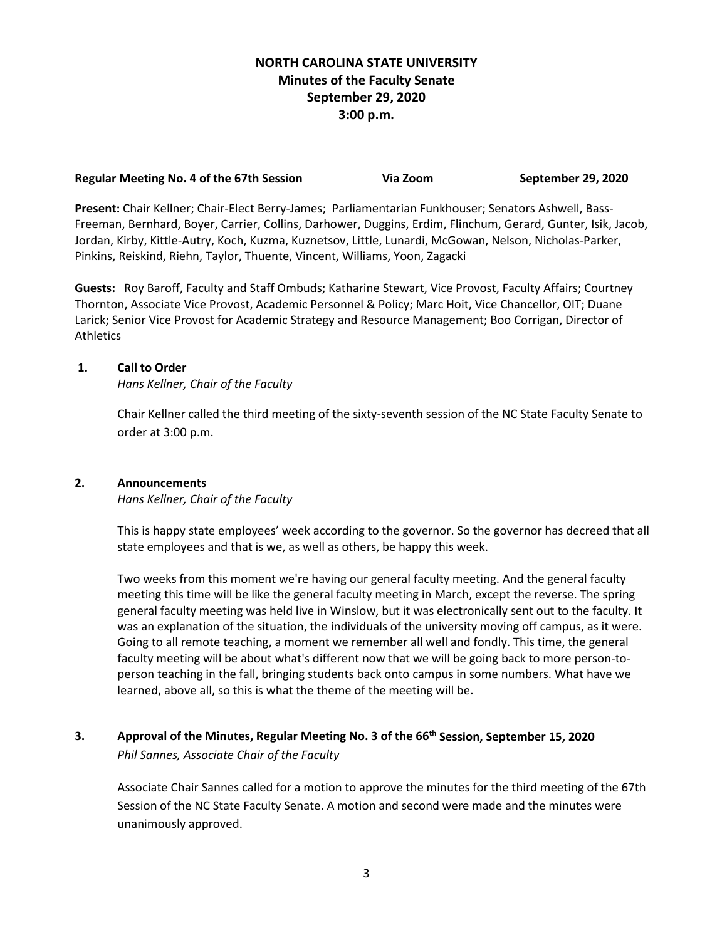## **NORTH CAROLINA STATE UNIVERSITY Minutes of the Faculty Senate September 29, 2020 3:00 p.m.**

## **Regular Meeting No. 4 of the 67th Session Via Zoom September 29, 2020**

**Present:** Chair Kellner; Chair-Elect Berry-James; Parliamentarian Funkhouser; Senators Ashwell, Bass-Freeman, Bernhard, Boyer, Carrier, Collins, Darhower, Duggins, Erdim, Flinchum, Gerard, Gunter, Isik, Jacob, Jordan, Kirby, Kittle-Autry, Koch, Kuzma, Kuznetsov, Little, Lunardi, McGowan, Nelson, Nicholas-Parker, Pinkins, Reiskind, Riehn, Taylor, Thuente, Vincent, Williams, Yoon, Zagacki

**Guests:** Roy Baroff, Faculty and Staff Ombuds; Katharine Stewart, Vice Provost, Faculty Affairs; Courtney Thornton, Associate Vice Provost, Academic Personnel & Policy; Marc Hoit, Vice Chancellor, OIT; Duane Larick; Senior Vice Provost for Academic Strategy and Resource Management; Boo Corrigan, Director of **Athletics** 

## **1. Call to Order**

*Hans Kellner, Chair of the Faculty*

Chair Kellner called the third meeting of the sixty-seventh session of the NC State Faculty Senate to order at 3:00 p.m.

## **2. Announcements**

*Hans Kellner, Chair of the Faculty*

This is happy state employees' week according to the governor. So the governor has decreed that all state employees and that is we, as well as others, be happy this week.

Two weeks from this moment we're having our general faculty meeting. And the general faculty meeting this time will be like the general faculty meeting in March, except the reverse. The spring general faculty meeting was held live in Winslow, but it was electronically sent out to the faculty. It was an explanation of the situation, the individuals of the university moving off campus, as it were. Going to all remote teaching, a moment we remember all well and fondly. This time, the general faculty meeting will be about what's different now that we will be going back to more person-toperson teaching in the fall, bringing students back onto campus in some numbers. What have we learned, above all, so this is what the theme of the meeting will be.

**3. Approval of the Minutes, Regular Meeting No. 3 of the 66th Session, September 15, 2020** *Phil Sannes, Associate Chair of the Faculty*

Associate Chair Sannes called for a motion to approve the minutes for the third meeting of the 67th Session of the NC State Faculty Senate. A motion and second were made and the minutes were unanimously approved.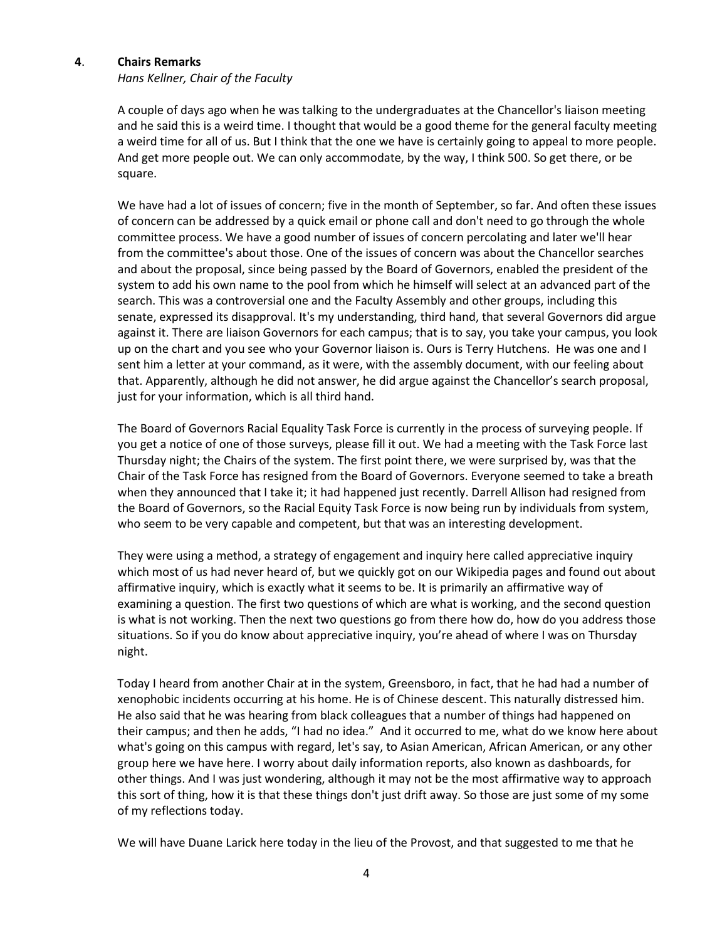#### **4**. **Chairs Remarks**

*Hans Kellner, Chair of the Faculty*

A couple of days ago when he was talking to the undergraduates at the Chancellor's liaison meeting and he said this is a weird time. I thought that would be a good theme for the general faculty meeting a weird time for all of us. But I think that the one we have is certainly going to appeal to more people. And get more people out. We can only accommodate, by the way, I think 500. So get there, or be square.

We have had a lot of issues of concern; five in the month of September, so far. And often these issues of concern can be addressed by a quick email or phone call and don't need to go through the whole committee process. We have a good number of issues of concern percolating and later we'll hear from the committee's about those. One of the issues of concern was about the Chancellor searches and about the proposal, since being passed by the Board of Governors, enabled the president of the system to add his own name to the pool from which he himself will select at an advanced part of the search. This was a controversial one and the Faculty Assembly and other groups, including this senate, expressed its disapproval. It's my understanding, third hand, that several Governors did argue against it. There are liaison Governors for each campus; that is to say, you take your campus, you look up on the chart and you see who your Governor liaison is. Ours is Terry Hutchens. He was one and I sent him a letter at your command, as it were, with the assembly document, with our feeling about that. Apparently, although he did not answer, he did argue against the Chancellor's search proposal, just for your information, which is all third hand.

The Board of Governors Racial Equality Task Force is currently in the process of surveying people. If you get a notice of one of those surveys, please fill it out. We had a meeting with the Task Force last Thursday night; the Chairs of the system. The first point there, we were surprised by, was that the Chair of the Task Force has resigned from the Board of Governors. Everyone seemed to take a breath when they announced that I take it; it had happened just recently. Darrell Allison had resigned from the Board of Governors, so the Racial Equity Task Force is now being run by individuals from system, who seem to be very capable and competent, but that was an interesting development.

They were using a method, a strategy of engagement and inquiry here called appreciative inquiry which most of us had never heard of, but we quickly got on our Wikipedia pages and found out about affirmative inquiry, which is exactly what it seems to be. It is primarily an affirmative way of examining a question. The first two questions of which are what is working, and the second question is what is not working. Then the next two questions go from there how do, how do you address those situations. So if you do know about appreciative inquiry, you're ahead of where I was on Thursday night.

Today I heard from another Chair at in the system, Greensboro, in fact, that he had had a number of xenophobic incidents occurring at his home. He is of Chinese descent. This naturally distressed him. He also said that he was hearing from black colleagues that a number of things had happened on their campus; and then he adds, "I had no idea." And it occurred to me, what do we know here about what's going on this campus with regard, let's say, to Asian American, African American, or any other group here we have here. I worry about daily information reports, also known as dashboards, for other things. And I was just wondering, although it may not be the most affirmative way to approach this sort of thing, how it is that these things don't just drift away. So those are just some of my some of my reflections today.

We will have Duane Larick here today in the lieu of the Provost, and that suggested to me that he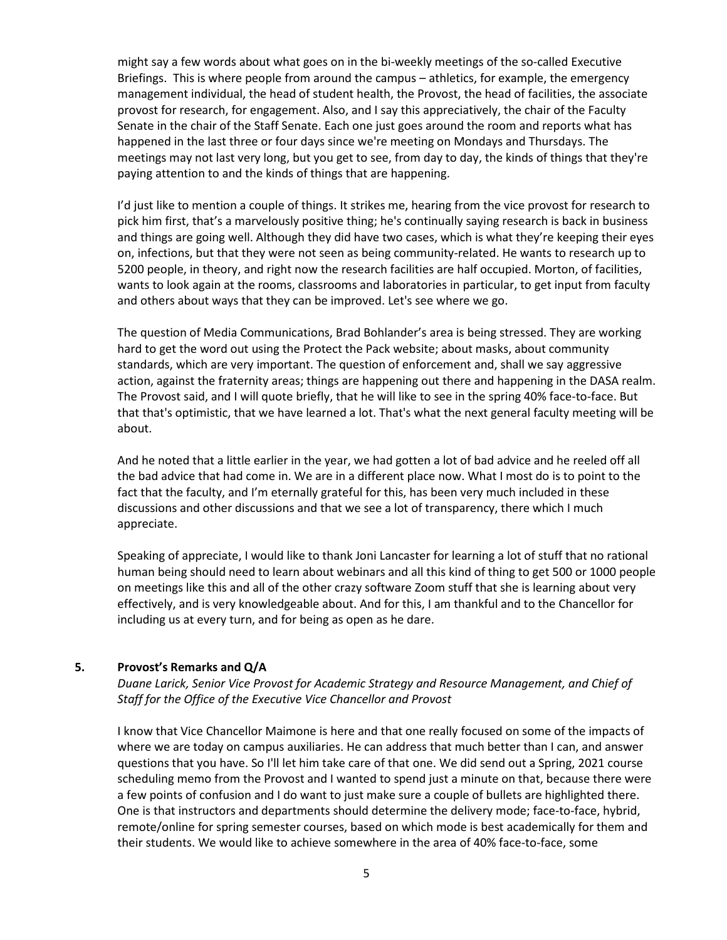might say a few words about what goes on in the bi-weekly meetings of the so-called Executive Briefings. This is where people from around the campus – athletics, for example, the emergency management individual, the head of student health, the Provost, the head of facilities, the associate provost for research, for engagement. Also, and I say this appreciatively, the chair of the Faculty Senate in the chair of the Staff Senate. Each one just goes around the room and reports what has happened in the last three or four days since we're meeting on Mondays and Thursdays. The meetings may not last very long, but you get to see, from day to day, the kinds of things that they're paying attention to and the kinds of things that are happening.

I'd just like to mention a couple of things. It strikes me, hearing from the vice provost for research to pick him first, that's a marvelously positive thing; he's continually saying research is back in business and things are going well. Although they did have two cases, which is what they're keeping their eyes on, infections, but that they were not seen as being community-related. He wants to research up to 5200 people, in theory, and right now the research facilities are half occupied. Morton, of facilities, wants to look again at the rooms, classrooms and laboratories in particular, to get input from faculty and others about ways that they can be improved. Let's see where we go.

The question of Media Communications, Brad Bohlander's area is being stressed. They are working hard to get the word out using the Protect the Pack website; about masks, about community standards, which are very important. The question of enforcement and, shall we say aggressive action, against the fraternity areas; things are happening out there and happening in the DASA realm. The Provost said, and I will quote briefly, that he will like to see in the spring 40% face-to-face. But that that's optimistic, that we have learned a lot. That's what the next general faculty meeting will be about.

And he noted that a little earlier in the year, we had gotten a lot of bad advice and he reeled off all the bad advice that had come in. We are in a different place now. What I most do is to point to the fact that the faculty, and I'm eternally grateful for this, has been very much included in these discussions and other discussions and that we see a lot of transparency, there which I much appreciate.

Speaking of appreciate, I would like to thank Joni Lancaster for learning a lot of stuff that no rational human being should need to learn about webinars and all this kind of thing to get 500 or 1000 people on meetings like this and all of the other crazy software Zoom stuff that she is learning about very effectively, and is very knowledgeable about. And for this, I am thankful and to the Chancellor for including us at every turn, and for being as open as he dare.

### **5. Provost's Remarks and Q/A**

*Duane Larick, Senior Vice Provost for Academic Strategy and Resource Management, and Chief of Staff for the Office of the Executive Vice Chancellor and Provost*

I know that Vice Chancellor Maimone is here and that one really focused on some of the impacts of where we are today on campus auxiliaries. He can address that much better than I can, and answer questions that you have. So I'll let him take care of that one. We did send out a Spring, 2021 course scheduling memo from the Provost and I wanted to spend just a minute on that, because there were a few points of confusion and I do want to just make sure a couple of bullets are highlighted there. One is that instructors and departments should determine the delivery mode; face-to-face, hybrid, remote/online for spring semester courses, based on which mode is best academically for them and their students. We would like to achieve somewhere in the area of 40% face-to-face, some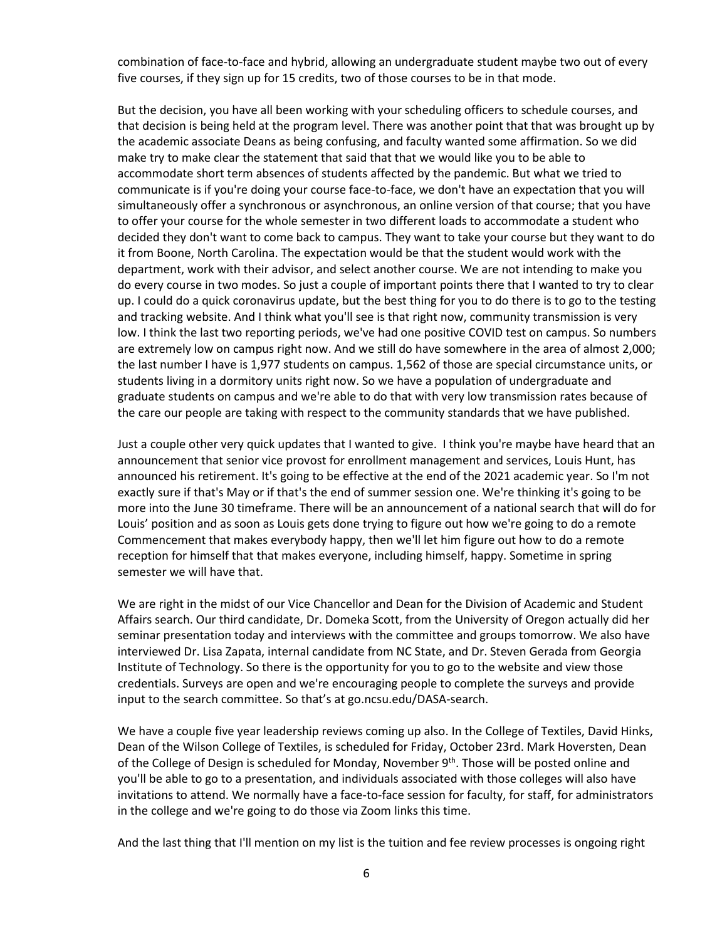combination of face-to-face and hybrid, allowing an undergraduate student maybe two out of every five courses, if they sign up for 15 credits, two of those courses to be in that mode.

But the decision, you have all been working with your scheduling officers to schedule courses, and that decision is being held at the program level. There was another point that that was brought up by the academic associate Deans as being confusing, and faculty wanted some affirmation. So we did make try to make clear the statement that said that that we would like you to be able to accommodate short term absences of students affected by the pandemic. But what we tried to communicate is if you're doing your course face-to-face, we don't have an expectation that you will simultaneously offer a synchronous or asynchronous, an online version of that course; that you have to offer your course for the whole semester in two different loads to accommodate a student who decided they don't want to come back to campus. They want to take your course but they want to do it from Boone, North Carolina. The expectation would be that the student would work with the department, work with their advisor, and select another course. We are not intending to make you do every course in two modes. So just a couple of important points there that I wanted to try to clear up. I could do a quick coronavirus update, but the best thing for you to do there is to go to the testing and tracking website. And I think what you'll see is that right now, community transmission is very low. I think the last two reporting periods, we've had one positive COVID test on campus. So numbers are extremely low on campus right now. And we still do have somewhere in the area of almost 2,000; the last number I have is 1,977 students on campus. 1,562 of those are special circumstance units, or students living in a dormitory units right now. So we have a population of undergraduate and graduate students on campus and we're able to do that with very low transmission rates because of the care our people are taking with respect to the community standards that we have published.

Just a couple other very quick updates that I wanted to give. I think you're maybe have heard that an announcement that senior vice provost for enrollment management and services, Louis Hunt, has announced his retirement. It's going to be effective at the end of the 2021 academic year. So I'm not exactly sure if that's May or if that's the end of summer session one. We're thinking it's going to be more into the June 30 timeframe. There will be an announcement of a national search that will do for Louis' position and as soon as Louis gets done trying to figure out how we're going to do a remote Commencement that makes everybody happy, then we'll let him figure out how to do a remote reception for himself that that makes everyone, including himself, happy. Sometime in spring semester we will have that.

We are right in the midst of our Vice Chancellor and Dean for the Division of Academic and Student Affairs search. Our third candidate, Dr. Domeka Scott, from the University of Oregon actually did her seminar presentation today and interviews with the committee and groups tomorrow. We also have interviewed Dr. Lisa Zapata, internal candidate from NC State, and Dr. Steven Gerada from Georgia Institute of Technology. So there is the opportunity for you to go to the website and view those credentials. Surveys are open and we're encouraging people to complete the surveys and provide input to the search committee. So that's at go.ncsu.edu/DASA-search.

We have a couple five year leadership reviews coming up also. In the College of Textiles, David Hinks, Dean of the Wilson College of Textiles, is scheduled for Friday, October 23rd. Mark Hoversten, Dean of the College of Design is scheduled for Monday, November 9<sup>th</sup>. Those will be posted online and you'll be able to go to a presentation, and individuals associated with those colleges will also have invitations to attend. We normally have a face-to-face session for faculty, for staff, for administrators in the college and we're going to do those via Zoom links this time.

And the last thing that I'll mention on my list is the tuition and fee review processes is ongoing right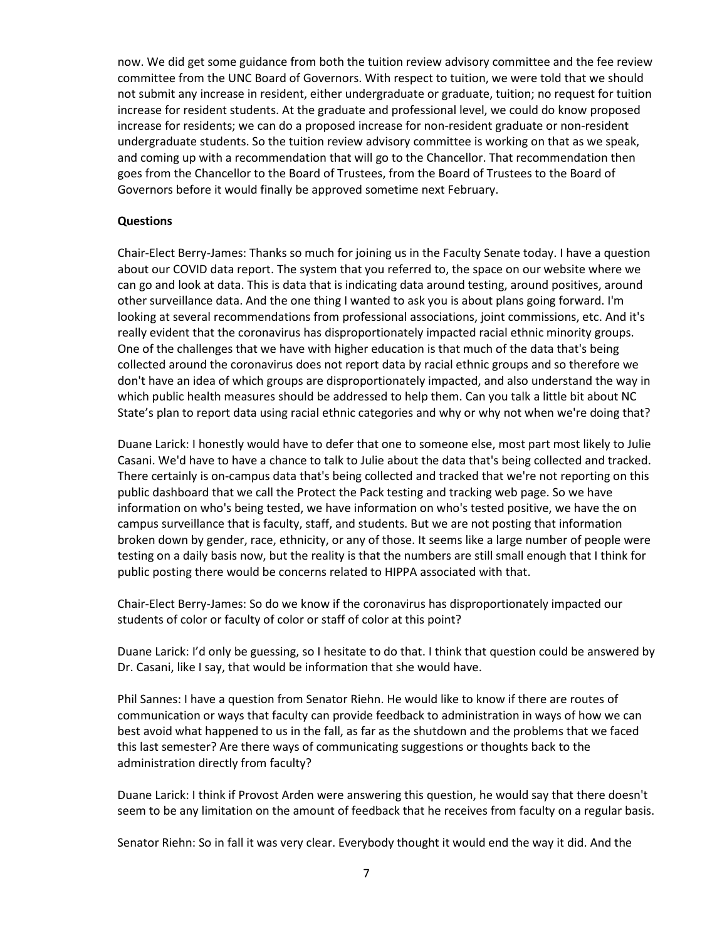now. We did get some guidance from both the tuition review advisory committee and the fee review committee from the UNC Board of Governors. With respect to tuition, we were told that we should not submit any increase in resident, either undergraduate or graduate, tuition; no request for tuition increase for resident students. At the graduate and professional level, we could do know proposed increase for residents; we can do a proposed increase for non-resident graduate or non-resident undergraduate students. So the tuition review advisory committee is working on that as we speak, and coming up with a recommendation that will go to the Chancellor. That recommendation then goes from the Chancellor to the Board of Trustees, from the Board of Trustees to the Board of Governors before it would finally be approved sometime next February.

#### **Questions**

Chair-Elect Berry-James: Thanks so much for joining us in the Faculty Senate today. I have a question about our COVID data report. The system that you referred to, the space on our website where we can go and look at data. This is data that is indicating data around testing, around positives, around other surveillance data. And the one thing I wanted to ask you is about plans going forward. I'm looking at several recommendations from professional associations, joint commissions, etc. And it's really evident that the coronavirus has disproportionately impacted racial ethnic minority groups. One of the challenges that we have with higher education is that much of the data that's being collected around the coronavirus does not report data by racial ethnic groups and so therefore we don't have an idea of which groups are disproportionately impacted, and also understand the way in which public health measures should be addressed to help them. Can you talk a little bit about NC State's plan to report data using racial ethnic categories and why or why not when we're doing that?

Duane Larick: I honestly would have to defer that one to someone else, most part most likely to Julie Casani. We'd have to have a chance to talk to Julie about the data that's being collected and tracked. There certainly is on-campus data that's being collected and tracked that we're not reporting on this public dashboard that we call the Protect the Pack testing and tracking web page. So we have information on who's being tested, we have information on who's tested positive, we have the on campus surveillance that is faculty, staff, and students. But we are not posting that information broken down by gender, race, ethnicity, or any of those. It seems like a large number of people were testing on a daily basis now, but the reality is that the numbers are still small enough that I think for public posting there would be concerns related to HIPPA associated with that.

Chair-Elect Berry-James: So do we know if the coronavirus has disproportionately impacted our students of color or faculty of color or staff of color at this point?

Duane Larick: I'd only be guessing, so I hesitate to do that. I think that question could be answered by Dr. Casani, like I say, that would be information that she would have.

Phil Sannes: I have a question from Senator Riehn. He would like to know if there are routes of communication or ways that faculty can provide feedback to administration in ways of how we can best avoid what happened to us in the fall, as far as the shutdown and the problems that we faced this last semester? Are there ways of communicating suggestions or thoughts back to the administration directly from faculty?

Duane Larick: I think if Provost Arden were answering this question, he would say that there doesn't seem to be any limitation on the amount of feedback that he receives from faculty on a regular basis.

Senator Riehn: So in fall it was very clear. Everybody thought it would end the way it did. And the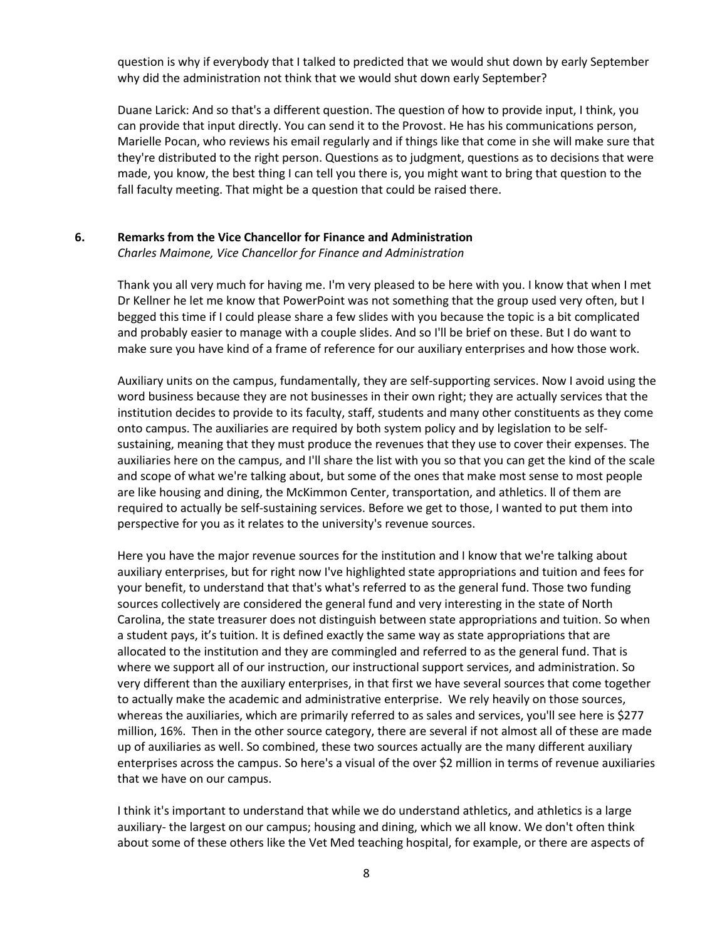question is why if everybody that I talked to predicted that we would shut down by early September why did the administration not think that we would shut down early September?

Duane Larick: And so that's a different question. The question of how to provide input, I think, you can provide that input directly. You can send it to the Provost. He has his communications person, Marielle Pocan, who reviews his email regularly and if things like that come in she will make sure that they're distributed to the right person. Questions as to judgment, questions as to decisions that were made, you know, the best thing I can tell you there is, you might want to bring that question to the fall faculty meeting. That might be a question that could be raised there.

#### **6. Remarks from the Vice Chancellor for Finance and Administration**

*Charles Maimone, Vice Chancellor for Finance and Administration*

Thank you all very much for having me. I'm very pleased to be here with you. I know that when I met Dr Kellner he let me know that PowerPoint was not something that the group used very often, but I begged this time if I could please share a few slides with you because the topic is a bit complicated and probably easier to manage with a couple slides. And so I'll be brief on these. But I do want to make sure you have kind of a frame of reference for our auxiliary enterprises and how those work.

Auxiliary units on the campus, fundamentally, they are self-supporting services. Now I avoid using the word business because they are not businesses in their own right; they are actually services that the institution decides to provide to its faculty, staff, students and many other constituents as they come onto campus. The auxiliaries are required by both system policy and by legislation to be selfsustaining, meaning that they must produce the revenues that they use to cover their expenses. The auxiliaries here on the campus, and I'll share the list with you so that you can get the kind of the scale and scope of what we're talking about, but some of the ones that make most sense to most people are like housing and dining, the McKimmon Center, transportation, and athletics. ll of them are required to actually be self-sustaining services. Before we get to those, I wanted to put them into perspective for you as it relates to the university's revenue sources.

Here you have the major revenue sources for the institution and I know that we're talking about auxiliary enterprises, but for right now I've highlighted state appropriations and tuition and fees for your benefit, to understand that that's what's referred to as the general fund. Those two funding sources collectively are considered the general fund and very interesting in the state of North Carolina, the state treasurer does not distinguish between state appropriations and tuition. So when a student pays, it's tuition. It is defined exactly the same way as state appropriations that are allocated to the institution and they are commingled and referred to as the general fund. That is where we support all of our instruction, our instructional support services, and administration. So very different than the auxiliary enterprises, in that first we have several sources that come together to actually make the academic and administrative enterprise. We rely heavily on those sources, whereas the auxiliaries, which are primarily referred to as sales and services, you'll see here is \$277 million, 16%. Then in the other source category, there are several if not almost all of these are made up of auxiliaries as well. So combined, these two sources actually are the many different auxiliary enterprises across the campus. So here's a visual of the over \$2 million in terms of revenue auxiliaries that we have on our campus.

I think it's important to understand that while we do understand athletics, and athletics is a large auxiliary- the largest on our campus; housing and dining, which we all know. We don't often think about some of these others like the Vet Med teaching hospital, for example, or there are aspects of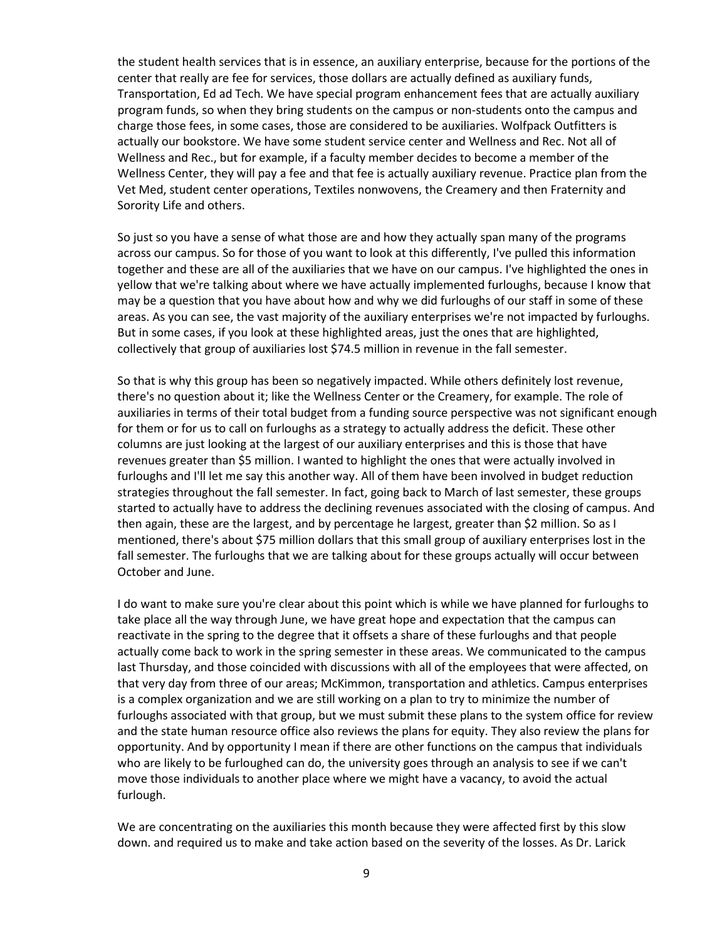the student health services that is in essence, an auxiliary enterprise, because for the portions of the center that really are fee for services, those dollars are actually defined as auxiliary funds, Transportation, Ed ad Tech. We have special program enhancement fees that are actually auxiliary program funds, so when they bring students on the campus or non-students onto the campus and charge those fees, in some cases, those are considered to be auxiliaries. Wolfpack Outfitters is actually our bookstore. We have some student service center and Wellness and Rec. Not all of Wellness and Rec., but for example, if a faculty member decides to become a member of the Wellness Center, they will pay a fee and that fee is actually auxiliary revenue. Practice plan from the Vet Med, student center operations, Textiles nonwovens, the Creamery and then Fraternity and Sorority Life and others.

So just so you have a sense of what those are and how they actually span many of the programs across our campus. So for those of you want to look at this differently, I've pulled this information together and these are all of the auxiliaries that we have on our campus. I've highlighted the ones in yellow that we're talking about where we have actually implemented furloughs, because I know that may be a question that you have about how and why we did furloughs of our staff in some of these areas. As you can see, the vast majority of the auxiliary enterprises we're not impacted by furloughs. But in some cases, if you look at these highlighted areas, just the ones that are highlighted, collectively that group of auxiliaries lost \$74.5 million in revenue in the fall semester.

So that is why this group has been so negatively impacted. While others definitely lost revenue, there's no question about it; like the Wellness Center or the Creamery, for example. The role of auxiliaries in terms of their total budget from a funding source perspective was not significant enough for them or for us to call on furloughs as a strategy to actually address the deficit. These other columns are just looking at the largest of our auxiliary enterprises and this is those that have revenues greater than \$5 million. I wanted to highlight the ones that were actually involved in furloughs and I'll let me say this another way. All of them have been involved in budget reduction strategies throughout the fall semester. In fact, going back to March of last semester, these groups started to actually have to address the declining revenues associated with the closing of campus. And then again, these are the largest, and by percentage he largest, greater than \$2 million. So as I mentioned, there's about \$75 million dollars that this small group of auxiliary enterprises lost in the fall semester. The furloughs that we are talking about for these groups actually will occur between October and June.

I do want to make sure you're clear about this point which is while we have planned for furloughs to take place all the way through June, we have great hope and expectation that the campus can reactivate in the spring to the degree that it offsets a share of these furloughs and that people actually come back to work in the spring semester in these areas. We communicated to the campus last Thursday, and those coincided with discussions with all of the employees that were affected, on that very day from three of our areas; McKimmon, transportation and athletics. Campus enterprises is a complex organization and we are still working on a plan to try to minimize the number of furloughs associated with that group, but we must submit these plans to the system office for review and the state human resource office also reviews the plans for equity. They also review the plans for opportunity. And by opportunity I mean if there are other functions on the campus that individuals who are likely to be furloughed can do, the university goes through an analysis to see if we can't move those individuals to another place where we might have a vacancy, to avoid the actual furlough.

We are concentrating on the auxiliaries this month because they were affected first by this slow down. and required us to make and take action based on the severity of the losses. As Dr. Larick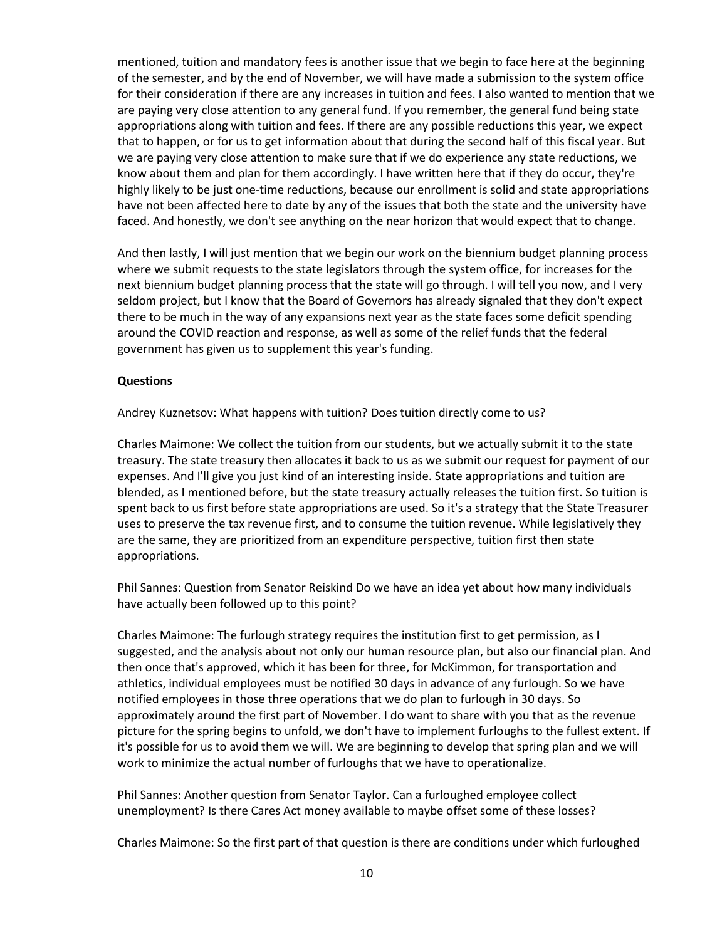mentioned, tuition and mandatory fees is another issue that we begin to face here at the beginning of the semester, and by the end of November, we will have made a submission to the system office for their consideration if there are any increases in tuition and fees. I also wanted to mention that we are paying very close attention to any general fund. If you remember, the general fund being state appropriations along with tuition and fees. If there are any possible reductions this year, we expect that to happen, or for us to get information about that during the second half of this fiscal year. But we are paying very close attention to make sure that if we do experience any state reductions, we know about them and plan for them accordingly. I have written here that if they do occur, they're highly likely to be just one-time reductions, because our enrollment is solid and state appropriations have not been affected here to date by any of the issues that both the state and the university have faced. And honestly, we don't see anything on the near horizon that would expect that to change.

And then lastly, I will just mention that we begin our work on the biennium budget planning process where we submit requests to the state legislators through the system office, for increases for the next biennium budget planning process that the state will go through. I will tell you now, and I very seldom project, but I know that the Board of Governors has already signaled that they don't expect there to be much in the way of any expansions next year as the state faces some deficit spending around the COVID reaction and response, as well as some of the relief funds that the federal government has given us to supplement this year's funding.

#### **Questions**

Andrey Kuznetsov: What happens with tuition? Does tuition directly come to us?

Charles Maimone: We collect the tuition from our students, but we actually submit it to the state treasury. The state treasury then allocates it back to us as we submit our request for payment of our expenses. And I'll give you just kind of an interesting inside. State appropriations and tuition are blended, as I mentioned before, but the state treasury actually releases the tuition first. So tuition is spent back to us first before state appropriations are used. So it's a strategy that the State Treasurer uses to preserve the tax revenue first, and to consume the tuition revenue. While legislatively they are the same, they are prioritized from an expenditure perspective, tuition first then state appropriations.

Phil Sannes: Question from Senator Reiskind Do we have an idea yet about how many individuals have actually been followed up to this point?

Charles Maimone: The furlough strategy requires the institution first to get permission, as I suggested, and the analysis about not only our human resource plan, but also our financial plan. And then once that's approved, which it has been for three, for McKimmon, for transportation and athletics, individual employees must be notified 30 days in advance of any furlough. So we have notified employees in those three operations that we do plan to furlough in 30 days. So approximately around the first part of November. I do want to share with you that as the revenue picture for the spring begins to unfold, we don't have to implement furloughs to the fullest extent. If it's possible for us to avoid them we will. We are beginning to develop that spring plan and we will work to minimize the actual number of furloughs that we have to operationalize.

Phil Sannes: Another question from Senator Taylor. Can a furloughed employee collect unemployment? Is there Cares Act money available to maybe offset some of these losses?

Charles Maimone: So the first part of that question is there are conditions under which furloughed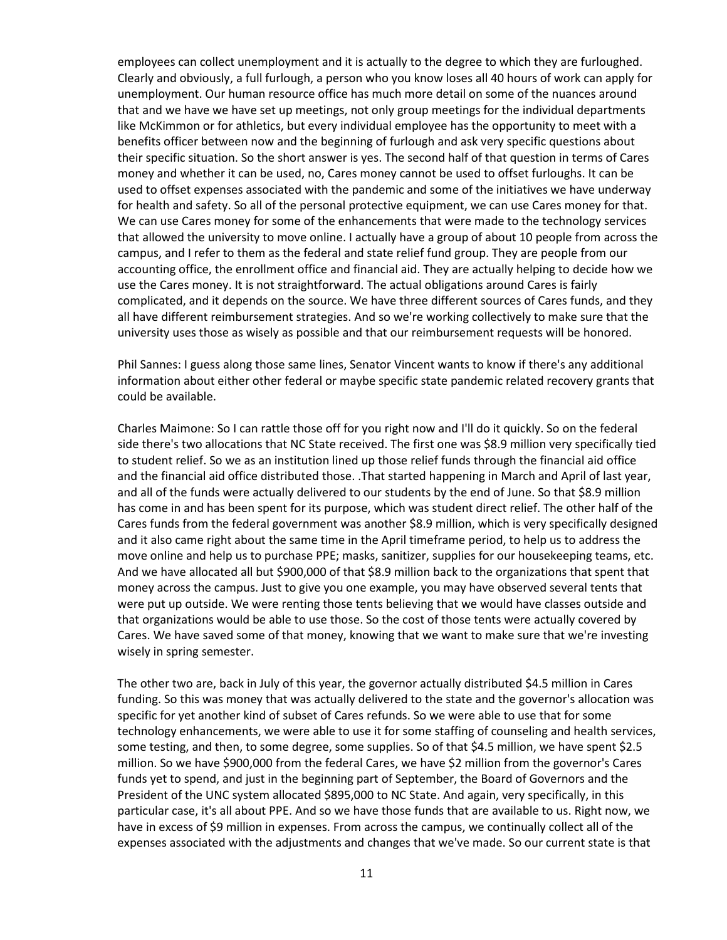employees can collect unemployment and it is actually to the degree to which they are furloughed. Clearly and obviously, a full furlough, a person who you know loses all 40 hours of work can apply for unemployment. Our human resource office has much more detail on some of the nuances around that and we have we have set up meetings, not only group meetings for the individual departments like McKimmon or for athletics, but every individual employee has the opportunity to meet with a benefits officer between now and the beginning of furlough and ask very specific questions about their specific situation. So the short answer is yes. The second half of that question in terms of Cares money and whether it can be used, no, Cares money cannot be used to offset furloughs. It can be used to offset expenses associated with the pandemic and some of the initiatives we have underway for health and safety. So all of the personal protective equipment, we can use Cares money for that. We can use Cares money for some of the enhancements that were made to the technology services that allowed the university to move online. I actually have a group of about 10 people from across the campus, and I refer to them as the federal and state relief fund group. They are people from our accounting office, the enrollment office and financial aid. They are actually helping to decide how we use the Cares money. It is not straightforward. The actual obligations around Cares is fairly complicated, and it depends on the source. We have three different sources of Cares funds, and they all have different reimbursement strategies. And so we're working collectively to make sure that the university uses those as wisely as possible and that our reimbursement requests will be honored.

Phil Sannes: I guess along those same lines, Senator Vincent wants to know if there's any additional information about either other federal or maybe specific state pandemic related recovery grants that could be available.

Charles Maimone: So I can rattle those off for you right now and I'll do it quickly. So on the federal side there's two allocations that NC State received. The first one was \$8.9 million very specifically tied to student relief. So we as an institution lined up those relief funds through the financial aid office and the financial aid office distributed those. .That started happening in March and April of last year, and all of the funds were actually delivered to our students by the end of June. So that \$8.9 million has come in and has been spent for its purpose, which was student direct relief. The other half of the Cares funds from the federal government was another \$8.9 million, which is very specifically designed and it also came right about the same time in the April timeframe period, to help us to address the move online and help us to purchase PPE; masks, sanitizer, supplies for our housekeeping teams, etc. And we have allocated all but \$900,000 of that \$8.9 million back to the organizations that spent that money across the campus. Just to give you one example, you may have observed several tents that were put up outside. We were renting those tents believing that we would have classes outside and that organizations would be able to use those. So the cost of those tents were actually covered by Cares. We have saved some of that money, knowing that we want to make sure that we're investing wisely in spring semester.

The other two are, back in July of this year, the governor actually distributed \$4.5 million in Cares funding. So this was money that was actually delivered to the state and the governor's allocation was specific for yet another kind of subset of Cares refunds. So we were able to use that for some technology enhancements, we were able to use it for some staffing of counseling and health services, some testing, and then, to some degree, some supplies. So of that \$4.5 million, we have spent \$2.5 million. So we have \$900,000 from the federal Cares, we have \$2 million from the governor's Cares funds yet to spend, and just in the beginning part of September, the Board of Governors and the President of the UNC system allocated \$895,000 to NC State. And again, very specifically, in this particular case, it's all about PPE. And so we have those funds that are available to us. Right now, we have in excess of \$9 million in expenses. From across the campus, we continually collect all of the expenses associated with the adjustments and changes that we've made. So our current state is that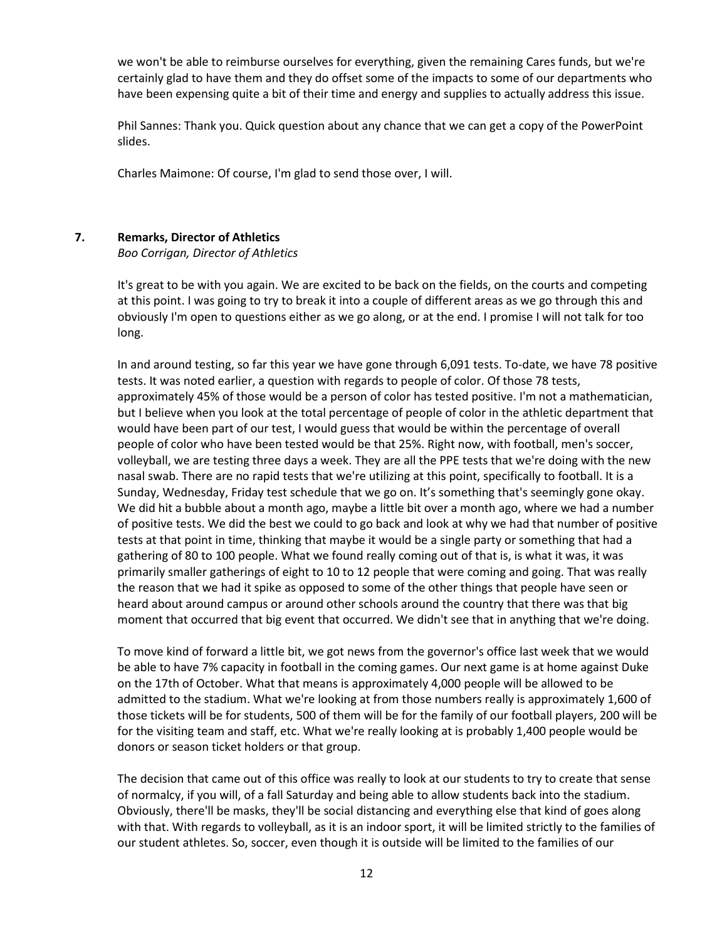we won't be able to reimburse ourselves for everything, given the remaining Cares funds, but we're certainly glad to have them and they do offset some of the impacts to some of our departments who have been expensing quite a bit of their time and energy and supplies to actually address this issue.

Phil Sannes: Thank you. Quick question about any chance that we can get a copy of the PowerPoint slides.

Charles Maimone: Of course, I'm glad to send those over, I will.

### **7. Remarks, Director of Athletics**

*Boo Corrigan, Director of Athletics* 

It's great to be with you again. We are excited to be back on the fields, on the courts and competing at this point. I was going to try to break it into a couple of different areas as we go through this and obviously I'm open to questions either as we go along, or at the end. I promise I will not talk for too long.

In and around testing, so far this year we have gone through 6,091 tests. To-date, we have 78 positive tests. It was noted earlier, a question with regards to people of color. Of those 78 tests, approximately 45% of those would be a person of color has tested positive. I'm not a mathematician, but I believe when you look at the total percentage of people of color in the athletic department that would have been part of our test, I would guess that would be within the percentage of overall people of color who have been tested would be that 25%. Right now, with football, men's soccer, volleyball, we are testing three days a week. They are all the PPE tests that we're doing with the new nasal swab. There are no rapid tests that we're utilizing at this point, specifically to football. It is a Sunday, Wednesday, Friday test schedule that we go on. It's something that's seemingly gone okay. We did hit a bubble about a month ago, maybe a little bit over a month ago, where we had a number of positive tests. We did the best we could to go back and look at why we had that number of positive tests at that point in time, thinking that maybe it would be a single party or something that had a gathering of 80 to 100 people. What we found really coming out of that is, is what it was, it was primarily smaller gatherings of eight to 10 to 12 people that were coming and going. That was really the reason that we had it spike as opposed to some of the other things that people have seen or heard about around campus or around other schools around the country that there was that big moment that occurred that big event that occurred. We didn't see that in anything that we're doing.

To move kind of forward a little bit, we got news from the governor's office last week that we would be able to have 7% capacity in football in the coming games. Our next game is at home against Duke on the 17th of October. What that means is approximately 4,000 people will be allowed to be admitted to the stadium. What we're looking at from those numbers really is approximately 1,600 of those tickets will be for students, 500 of them will be for the family of our football players, 200 will be for the visiting team and staff, etc. What we're really looking at is probably 1,400 people would be donors or season ticket holders or that group.

The decision that came out of this office was really to look at our students to try to create that sense of normalcy, if you will, of a fall Saturday and being able to allow students back into the stadium. Obviously, there'll be masks, they'll be social distancing and everything else that kind of goes along with that. With regards to volleyball, as it is an indoor sport, it will be limited strictly to the families of our student athletes. So, soccer, even though it is outside will be limited to the families of our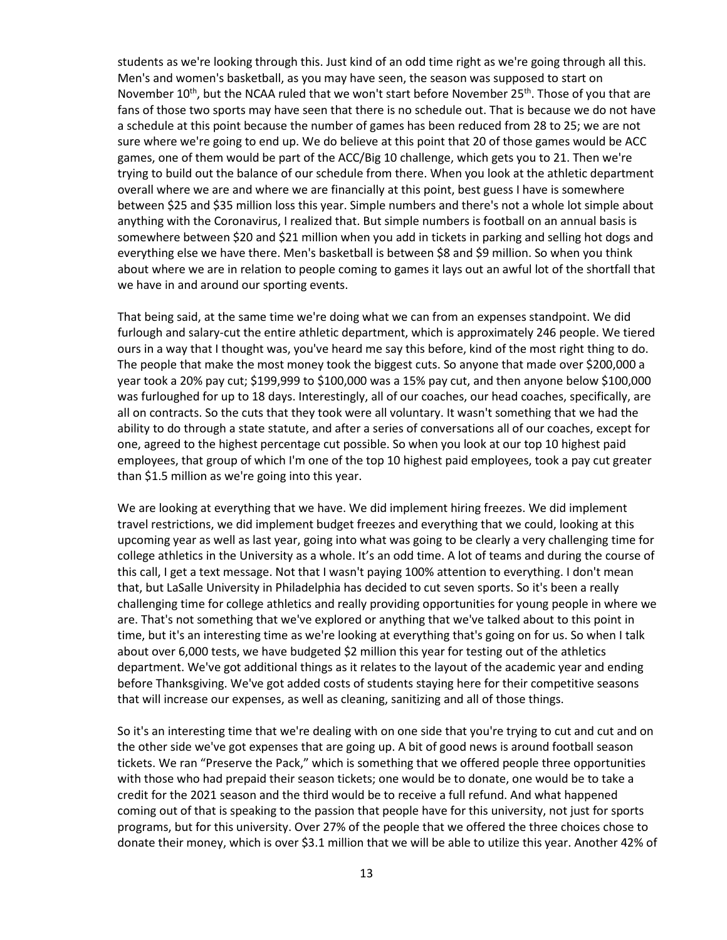students as we're looking through this. Just kind of an odd time right as we're going through all this. Men's and women's basketball, as you may have seen, the season was supposed to start on November  $10^{th}$ , but the NCAA ruled that we won't start before November  $25^{th}$ . Those of you that are fans of those two sports may have seen that there is no schedule out. That is because we do not have a schedule at this point because the number of games has been reduced from 28 to 25; we are not sure where we're going to end up. We do believe at this point that 20 of those games would be ACC games, one of them would be part of the ACC/Big 10 challenge, which gets you to 21. Then we're trying to build out the balance of our schedule from there. When you look at the athletic department overall where we are and where we are financially at this point, best guess I have is somewhere between \$25 and \$35 million loss this year. Simple numbers and there's not a whole lot simple about anything with the Coronavirus, I realized that. But simple numbers is football on an annual basis is somewhere between \$20 and \$21 million when you add in tickets in parking and selling hot dogs and everything else we have there. Men's basketball is between \$8 and \$9 million. So when you think about where we are in relation to people coming to games it lays out an awful lot of the shortfall that we have in and around our sporting events.

That being said, at the same time we're doing what we can from an expenses standpoint. We did furlough and salary-cut the entire athletic department, which is approximately 246 people. We tiered ours in a way that I thought was, you've heard me say this before, kind of the most right thing to do. The people that make the most money took the biggest cuts. So anyone that made over \$200,000 a year took a 20% pay cut; \$199,999 to \$100,000 was a 15% pay cut, and then anyone below \$100,000 was furloughed for up to 18 days. Interestingly, all of our coaches, our head coaches, specifically, are all on contracts. So the cuts that they took were all voluntary. It wasn't something that we had the ability to do through a state statute, and after a series of conversations all of our coaches, except for one, agreed to the highest percentage cut possible. So when you look at our top 10 highest paid employees, that group of which I'm one of the top 10 highest paid employees, took a pay cut greater than \$1.5 million as we're going into this year.

We are looking at everything that we have. We did implement hiring freezes. We did implement travel restrictions, we did implement budget freezes and everything that we could, looking at this upcoming year as well as last year, going into what was going to be clearly a very challenging time for college athletics in the University as a whole. It's an odd time. A lot of teams and during the course of this call, I get a text message. Not that I wasn't paying 100% attention to everything. I don't mean that, but LaSalle University in Philadelphia has decided to cut seven sports. So it's been a really challenging time for college athletics and really providing opportunities for young people in where we are. That's not something that we've explored or anything that we've talked about to this point in time, but it's an interesting time as we're looking at everything that's going on for us. So when I talk about over 6,000 tests, we have budgeted \$2 million this year for testing out of the athletics department. We've got additional things as it relates to the layout of the academic year and ending before Thanksgiving. We've got added costs of students staying here for their competitive seasons that will increase our expenses, as well as cleaning, sanitizing and all of those things.

So it's an interesting time that we're dealing with on one side that you're trying to cut and cut and on the other side we've got expenses that are going up. A bit of good news is around football season tickets. We ran "Preserve the Pack," which is something that we offered people three opportunities with those who had prepaid their season tickets; one would be to donate, one would be to take a credit for the 2021 season and the third would be to receive a full refund. And what happened coming out of that is speaking to the passion that people have for this university, not just for sports programs, but for this university. Over 27% of the people that we offered the three choices chose to donate their money, which is over \$3.1 million that we will be able to utilize this year. Another 42% of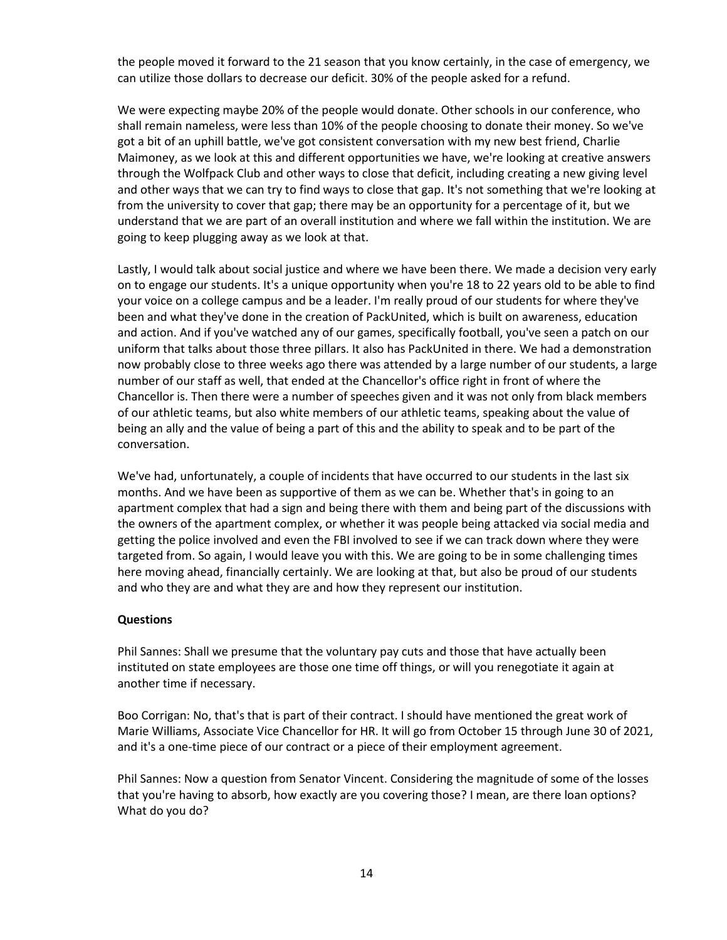the people moved it forward to the 21 season that you know certainly, in the case of emergency, we can utilize those dollars to decrease our deficit. 30% of the people asked for a refund.

We were expecting maybe 20% of the people would donate. Other schools in our conference, who shall remain nameless, were less than 10% of the people choosing to donate their money. So we've got a bit of an uphill battle, we've got consistent conversation with my new best friend, Charlie Maimoney, as we look at this and different opportunities we have, we're looking at creative answers through the Wolfpack Club and other ways to close that deficit, including creating a new giving level and other ways that we can try to find ways to close that gap. It's not something that we're looking at from the university to cover that gap; there may be an opportunity for a percentage of it, but we understand that we are part of an overall institution and where we fall within the institution. We are going to keep plugging away as we look at that.

Lastly, I would talk about social justice and where we have been there. We made a decision very early on to engage our students. It's a unique opportunity when you're 18 to 22 years old to be able to find your voice on a college campus and be a leader. I'm really proud of our students for where they've been and what they've done in the creation of PackUnited, which is built on awareness, education and action. And if you've watched any of our games, specifically football, you've seen a patch on our uniform that talks about those three pillars. It also has PackUnited in there. We had a demonstration now probably close to three weeks ago there was attended by a large number of our students, a large number of our staff as well, that ended at the Chancellor's office right in front of where the Chancellor is. Then there were a number of speeches given and it was not only from black members of our athletic teams, but also white members of our athletic teams, speaking about the value of being an ally and the value of being a part of this and the ability to speak and to be part of the conversation.

We've had, unfortunately, a couple of incidents that have occurred to our students in the last six months. And we have been as supportive of them as we can be. Whether that's in going to an apartment complex that had a sign and being there with them and being part of the discussions with the owners of the apartment complex, or whether it was people being attacked via social media and getting the police involved and even the FBI involved to see if we can track down where they were targeted from. So again, I would leave you with this. We are going to be in some challenging times here moving ahead, financially certainly. We are looking at that, but also be proud of our students and who they are and what they are and how they represent our institution.

#### **Questions**

Phil Sannes: Shall we presume that the voluntary pay cuts and those that have actually been instituted on state employees are those one time off things, or will you renegotiate it again at another time if necessary.

Boo Corrigan: No, that's that is part of their contract. I should have mentioned the great work of Marie Williams, Associate Vice Chancellor for HR. It will go from October 15 through June 30 of 2021, and it's a one-time piece of our contract or a piece of their employment agreement.

Phil Sannes: Now a question from Senator Vincent. Considering the magnitude of some of the losses that you're having to absorb, how exactly are you covering those? I mean, are there loan options? What do you do?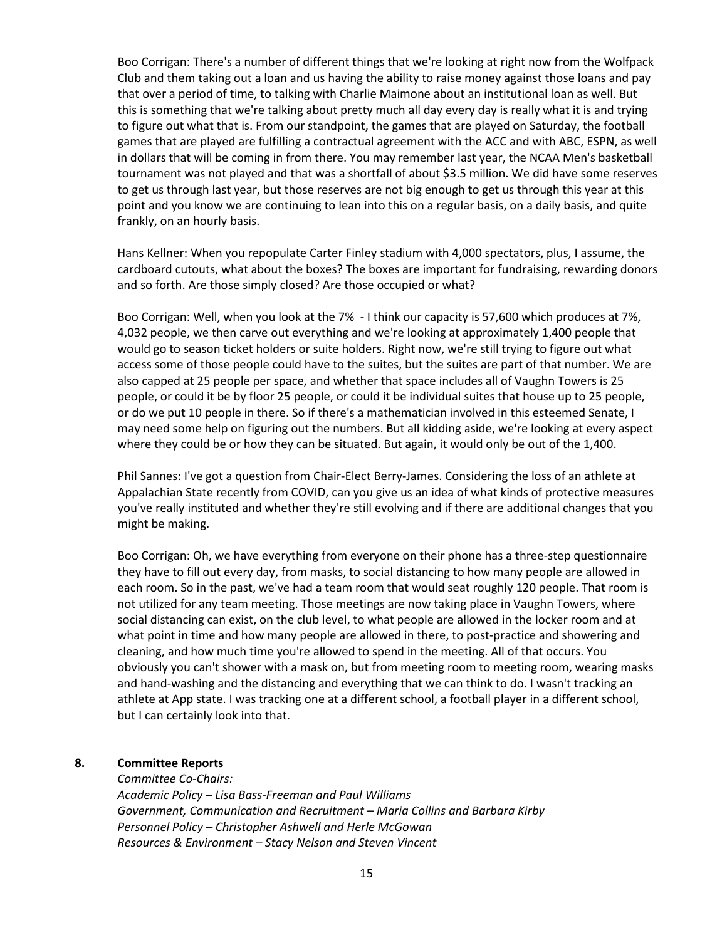Boo Corrigan: There's a number of different things that we're looking at right now from the Wolfpack Club and them taking out a loan and us having the ability to raise money against those loans and pay that over a period of time, to talking with Charlie Maimone about an institutional loan as well. But this is something that we're talking about pretty much all day every day is really what it is and trying to figure out what that is. From our standpoint, the games that are played on Saturday, the football games that are played are fulfilling a contractual agreement with the ACC and with ABC, ESPN, as well in dollars that will be coming in from there. You may remember last year, the NCAA Men's basketball tournament was not played and that was a shortfall of about \$3.5 million. We did have some reserves to get us through last year, but those reserves are not big enough to get us through this year at this point and you know we are continuing to lean into this on a regular basis, on a daily basis, and quite frankly, on an hourly basis.

Hans Kellner: When you repopulate Carter Finley stadium with 4,000 spectators, plus, I assume, the cardboard cutouts, what about the boxes? The boxes are important for fundraising, rewarding donors and so forth. Are those simply closed? Are those occupied or what?

Boo Corrigan: Well, when you look at the 7% - I think our capacity is 57,600 which produces at 7%, 4,032 people, we then carve out everything and we're looking at approximately 1,400 people that would go to season ticket holders or suite holders. Right now, we're still trying to figure out what access some of those people could have to the suites, but the suites are part of that number. We are also capped at 25 people per space, and whether that space includes all of Vaughn Towers is 25 people, or could it be by floor 25 people, or could it be individual suites that house up to 25 people, or do we put 10 people in there. So if there's a mathematician involved in this esteemed Senate, I may need some help on figuring out the numbers. But all kidding aside, we're looking at every aspect where they could be or how they can be situated. But again, it would only be out of the 1,400.

Phil Sannes: I've got a question from Chair-Elect Berry-James. Considering the loss of an athlete at Appalachian State recently from COVID, can you give us an idea of what kinds of protective measures you've really instituted and whether they're still evolving and if there are additional changes that you might be making.

Boo Corrigan: Oh, we have everything from everyone on their phone has a three-step questionnaire they have to fill out every day, from masks, to social distancing to how many people are allowed in each room. So in the past, we've had a team room that would seat roughly 120 people. That room is not utilized for any team meeting. Those meetings are now taking place in Vaughn Towers, where social distancing can exist, on the club level, to what people are allowed in the locker room and at what point in time and how many people are allowed in there, to post-practice and showering and cleaning, and how much time you're allowed to spend in the meeting. All of that occurs. You obviously you can't shower with a mask on, but from meeting room to meeting room, wearing masks and hand-washing and the distancing and everything that we can think to do. I wasn't tracking an athlete at App state. I was tracking one at a different school, a football player in a different school, but I can certainly look into that.

### **8. Committee Reports**

*Committee Co-Chairs:*

*Academic Policy – Lisa Bass-Freeman and Paul Williams Government, Communication and Recruitment – Maria Collins and Barbara Kirby Personnel Policy – Christopher Ashwell and Herle McGowan Resources & Environment – Stacy Nelson and Steven Vincent*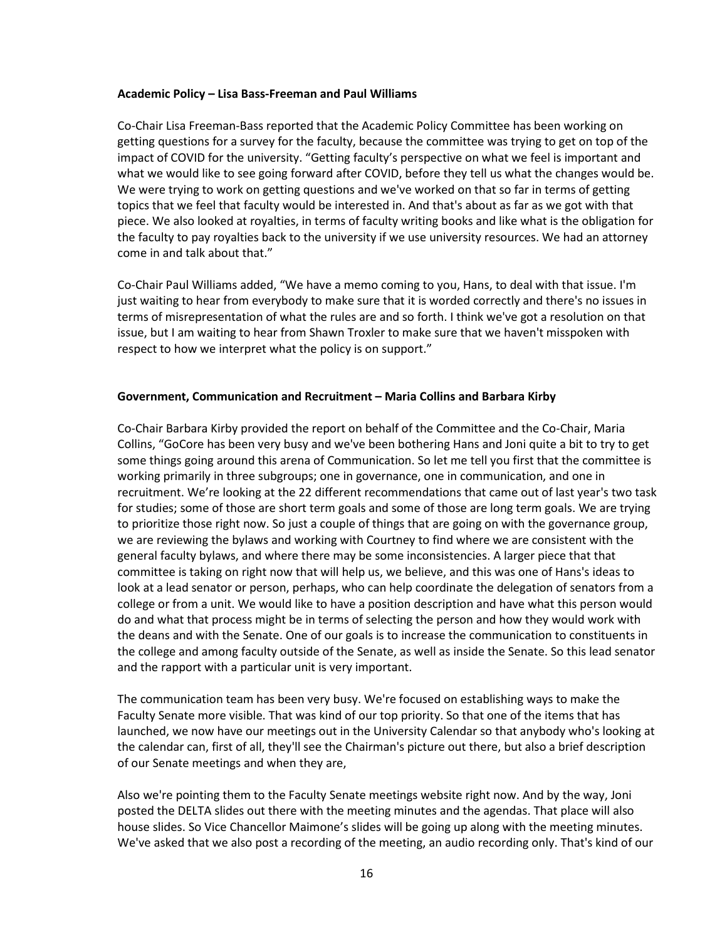#### **Academic Policy – Lisa Bass-Freeman and Paul Williams**

Co-Chair Lisa Freeman-Bass reported that the Academic Policy Committee has been working on getting questions for a survey for the faculty, because the committee was trying to get on top of the impact of COVID for the university. "Getting faculty's perspective on what we feel is important and what we would like to see going forward after COVID, before they tell us what the changes would be. We were trying to work on getting questions and we've worked on that so far in terms of getting topics that we feel that faculty would be interested in. And that's about as far as we got with that piece. We also looked at royalties, in terms of faculty writing books and like what is the obligation for the faculty to pay royalties back to the university if we use university resources. We had an attorney come in and talk about that."

Co-Chair Paul Williams added, "We have a memo coming to you, Hans, to deal with that issue. I'm just waiting to hear from everybody to make sure that it is worded correctly and there's no issues in terms of misrepresentation of what the rules are and so forth. I think we've got a resolution on that issue, but I am waiting to hear from Shawn Troxler to make sure that we haven't misspoken with respect to how we interpret what the policy is on support."

#### **Government, Communication and Recruitment – Maria Collins and Barbara Kirby**

Co-Chair Barbara Kirby provided the report on behalf of the Committee and the Co-Chair, Maria Collins, "GoCore has been very busy and we've been bothering Hans and Joni quite a bit to try to get some things going around this arena of Communication. So let me tell you first that the committee is working primarily in three subgroups; one in governance, one in communication, and one in recruitment. We're looking at the 22 different recommendations that came out of last year's two task for studies; some of those are short term goals and some of those are long term goals. We are trying to prioritize those right now. So just a couple of things that are going on with the governance group, we are reviewing the bylaws and working with Courtney to find where we are consistent with the general faculty bylaws, and where there may be some inconsistencies. A larger piece that that committee is taking on right now that will help us, we believe, and this was one of Hans's ideas to look at a lead senator or person, perhaps, who can help coordinate the delegation of senators from a college or from a unit. We would like to have a position description and have what this person would do and what that process might be in terms of selecting the person and how they would work with the deans and with the Senate. One of our goals is to increase the communication to constituents in the college and among faculty outside of the Senate, as well as inside the Senate. So this lead senator and the rapport with a particular unit is very important.

The communication team has been very busy. We're focused on establishing ways to make the Faculty Senate more visible. That was kind of our top priority. So that one of the items that has launched, we now have our meetings out in the University Calendar so that anybody who's looking at the calendar can, first of all, they'll see the Chairman's picture out there, but also a brief description of our Senate meetings and when they are,

Also we're pointing them to the Faculty Senate meetings website right now. And by the way, Joni posted the DELTA slides out there with the meeting minutes and the agendas. That place will also house slides. So Vice Chancellor Maimone's slides will be going up along with the meeting minutes. We've asked that we also post a recording of the meeting, an audio recording only. That's kind of our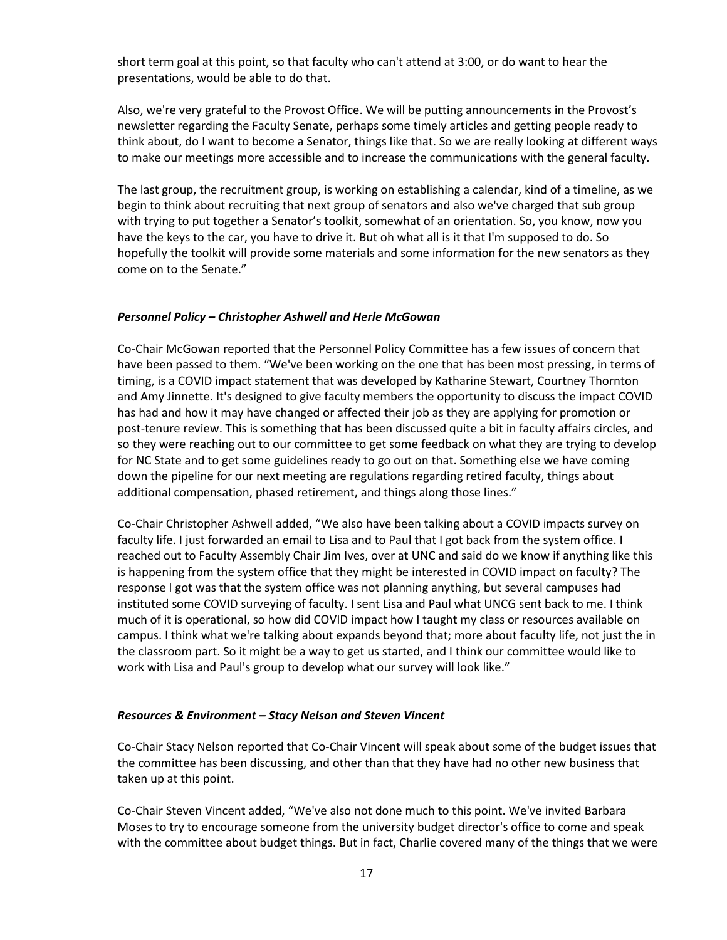short term goal at this point, so that faculty who can't attend at 3:00, or do want to hear the presentations, would be able to do that.

Also, we're very grateful to the Provost Office. We will be putting announcements in the Provost's newsletter regarding the Faculty Senate, perhaps some timely articles and getting people ready to think about, do I want to become a Senator, things like that. So we are really looking at different ways to make our meetings more accessible and to increase the communications with the general faculty.

The last group, the recruitment group, is working on establishing a calendar, kind of a timeline, as we begin to think about recruiting that next group of senators and also we've charged that sub group with trying to put together a Senator's toolkit, somewhat of an orientation. So, you know, now you have the keys to the car, you have to drive it. But oh what all is it that I'm supposed to do. So hopefully the toolkit will provide some materials and some information for the new senators as they come on to the Senate."

#### *Personnel Policy – Christopher Ashwell and Herle McGowan*

Co-Chair McGowan reported that the Personnel Policy Committee has a few issues of concern that have been passed to them. "We've been working on the one that has been most pressing, in terms of timing, is a COVID impact statement that was developed by Katharine Stewart, Courtney Thornton and Amy Jinnette. It's designed to give faculty members the opportunity to discuss the impact COVID has had and how it may have changed or affected their job as they are applying for promotion or post-tenure review. This is something that has been discussed quite a bit in faculty affairs circles, and so they were reaching out to our committee to get some feedback on what they are trying to develop for NC State and to get some guidelines ready to go out on that. Something else we have coming down the pipeline for our next meeting are regulations regarding retired faculty, things about additional compensation, phased retirement, and things along those lines."

Co-Chair Christopher Ashwell added, "We also have been talking about a COVID impacts survey on faculty life. I just forwarded an email to Lisa and to Paul that I got back from the system office. I reached out to Faculty Assembly Chair Jim Ives, over at UNC and said do we know if anything like this is happening from the system office that they might be interested in COVID impact on faculty? The response I got was that the system office was not planning anything, but several campuses had instituted some COVID surveying of faculty. I sent Lisa and Paul what UNCG sent back to me. I think much of it is operational, so how did COVID impact how I taught my class or resources available on campus. I think what we're talking about expands beyond that; more about faculty life, not just the in the classroom part. So it might be a way to get us started, and I think our committee would like to work with Lisa and Paul's group to develop what our survey will look like."

#### *Resources & Environment – Stacy Nelson and Steven Vincent*

Co-Chair Stacy Nelson reported that Co-Chair Vincent will speak about some of the budget issues that the committee has been discussing, and other than that they have had no other new business that taken up at this point.

Co-Chair Steven Vincent added, "We've also not done much to this point. We've invited Barbara Moses to try to encourage someone from the university budget director's office to come and speak with the committee about budget things. But in fact, Charlie covered many of the things that we were